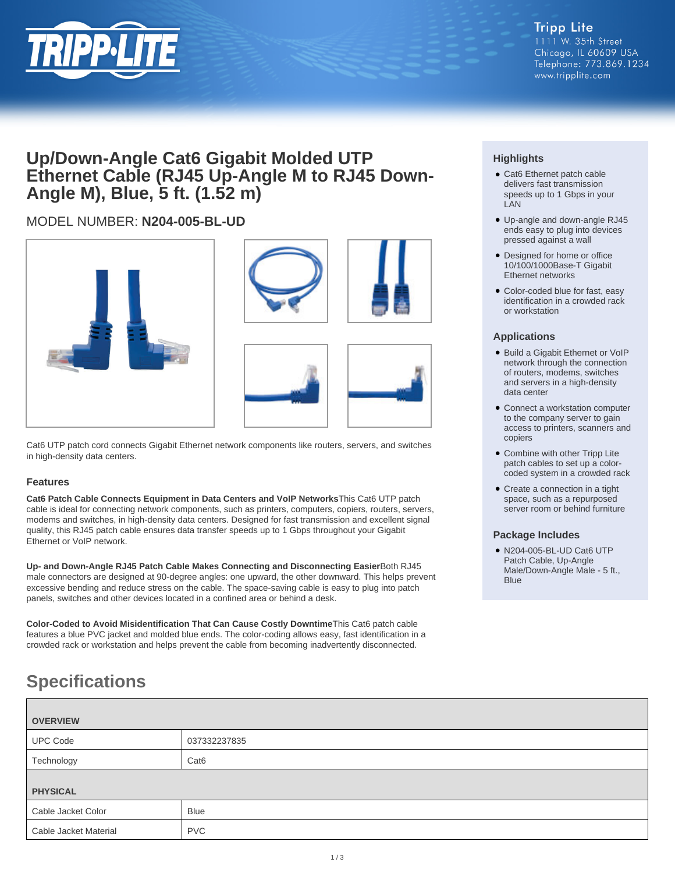

# **Up/Down-Angle Cat6 Gigabit Molded UTP** Ethernet Cable (RJ45 Up-Angle M to RJ45 Down-**Angle M), Blue, 5 ft. (1.52 m)**

# MODEL NUMBER: **N204-005-BL-UD**







Cat6 UTP patch cord connects Gigabit Ethernet network components like routers, servers, and switches in high-density data centers.

### **Features**

**Cat6 Patch Cable Connects Equipment in Data Centers and VoIP Networks**This Cat6 UTP patch cable is ideal for connecting network components, such as printers, computers, copiers, routers, servers, modems and switches, in high-density data centers. Designed for fast transmission and excellent signal quality, this RJ45 patch cable ensures data transfer speeds up to 1 Gbps throughout your Gigabit Ethernet or VoIP network.

**Up- and Down-Angle RJ45 Patch Cable Makes Connecting and Disconnecting Easier**Both RJ45 male connectors are designed at 90-degree angles: one upward, the other downward. This helps prevent excessive bending and reduce stress on the cable. The space-saving cable is easy to plug into patch panels, switches and other devices located in a confined area or behind a desk.

**Color-Coded to Avoid Misidentification That Can Cause Costly Downtime**This Cat6 patch cable features a blue PVC jacket and molded blue ends. The color-coding allows easy, fast identification in a crowded rack or workstation and helps prevent the cable from becoming inadvertently disconnected.

## **Highlights**

- Cat6 Ethernet patch cable delivers fast transmission speeds up to 1 Gbps in your LAN
- Up-angle and down-angle RJ45 ends easy to plug into devices pressed against a wall
- Designed for home or office 10/100/1000Base-T Gigabit Ethernet networks
- Color-coded blue for fast, easy identification in a crowded rack or workstation

#### **Applications**

- Build a Gigabit Ethernet or VoIP network through the connection of routers, modems, switches and servers in a high-density data center
- Connect a workstation computer to the company server to gain access to printers, scanners and copiers
- Combine with other Tripp Lite patch cables to set up a colorcoded system in a crowded rack
- Create a connection in a tight space, such as a repurposed server room or behind furniture

#### **Package Includes**

● N204-005-BL-UD Cat6 UTP Patch Cable, Up-Angle Male/Down-Angle Male - 5 ft., **Blue** 

# **Specifications**

| <b>OVERVIEW</b>       |                  |  |
|-----------------------|------------------|--|
| <b>UPC Code</b>       | 037332237835     |  |
| Technology            | Cat <sub>6</sub> |  |
|                       |                  |  |
| <b>PHYSICAL</b>       |                  |  |
| Cable Jacket Color    | <b>Blue</b>      |  |
| Cable Jacket Material | <b>PVC</b>       |  |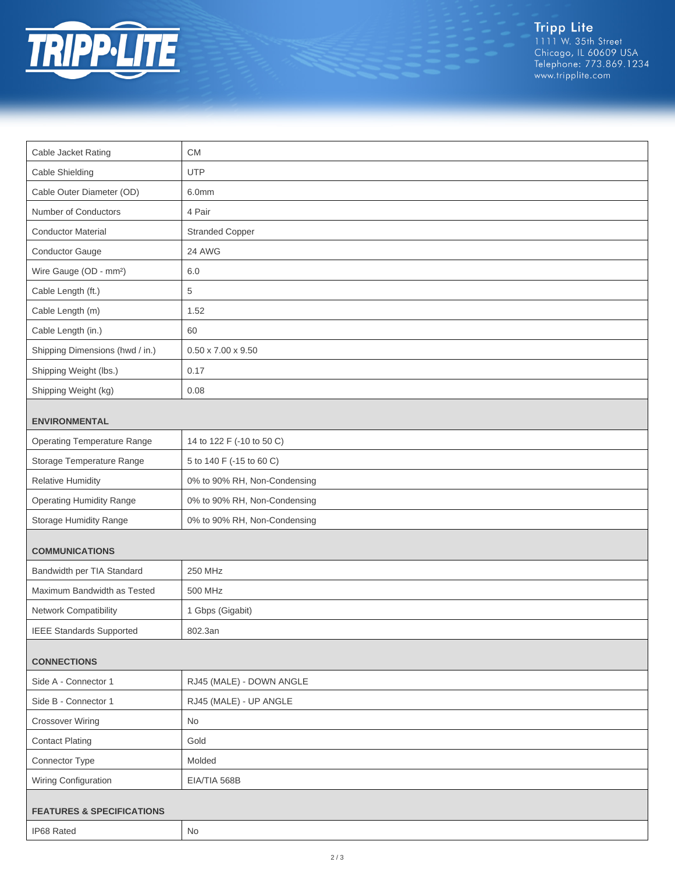

Tripp Lite<br>1111 W. 35th Street<br>Chicago, IL 60609 USA<br>Telephone: 773.869.1234<br>www.tripplite.com

| Cable Jacket Rating                  | <b>CM</b>                      |  |
|--------------------------------------|--------------------------------|--|
| Cable Shielding                      | <b>UTP</b>                     |  |
| Cable Outer Diameter (OD)            | 6.0mm                          |  |
| Number of Conductors                 | 4 Pair                         |  |
| <b>Conductor Material</b>            | <b>Stranded Copper</b>         |  |
| Conductor Gauge                      | 24 AWG                         |  |
| Wire Gauge (OD - mm <sup>2</sup> )   | 6.0                            |  |
| Cable Length (ft.)                   | 5                              |  |
| Cable Length (m)                     | 1.52                           |  |
| Cable Length (in.)                   | 60                             |  |
| Shipping Dimensions (hwd / in.)      | $0.50 \times 7.00 \times 9.50$ |  |
| Shipping Weight (lbs.)               | 0.17                           |  |
| Shipping Weight (kg)                 | 0.08                           |  |
| <b>ENVIRONMENTAL</b>                 |                                |  |
| <b>Operating Temperature Range</b>   | 14 to 122 F (-10 to 50 C)      |  |
| Storage Temperature Range            | 5 to 140 F (-15 to 60 C)       |  |
| <b>Relative Humidity</b>             | 0% to 90% RH, Non-Condensing   |  |
| <b>Operating Humidity Range</b>      | 0% to 90% RH, Non-Condensing   |  |
| Storage Humidity Range               | 0% to 90% RH, Non-Condensing   |  |
| <b>COMMUNICATIONS</b>                |                                |  |
| Bandwidth per TIA Standard           | 250 MHz                        |  |
| Maximum Bandwidth as Tested          | 500 MHz                        |  |
| Network Compatibility                | 1 Gbps (Gigabit)               |  |
| <b>IEEE Standards Supported</b>      | 802.3an                        |  |
| <b>CONNECTIONS</b>                   |                                |  |
| Side A - Connector 1                 | RJ45 (MALE) - DOWN ANGLE       |  |
| Side B - Connector 1                 | RJ45 (MALE) - UP ANGLE         |  |
| <b>Crossover Wiring</b>              | No                             |  |
| <b>Contact Plating</b>               | Gold                           |  |
| Connector Type                       | Molded                         |  |
| Wiring Configuration                 | EIA/TIA 568B                   |  |
|                                      |                                |  |
| <b>FEATURES &amp; SPECIFICATIONS</b> |                                |  |
| IP68 Rated                           | No                             |  |